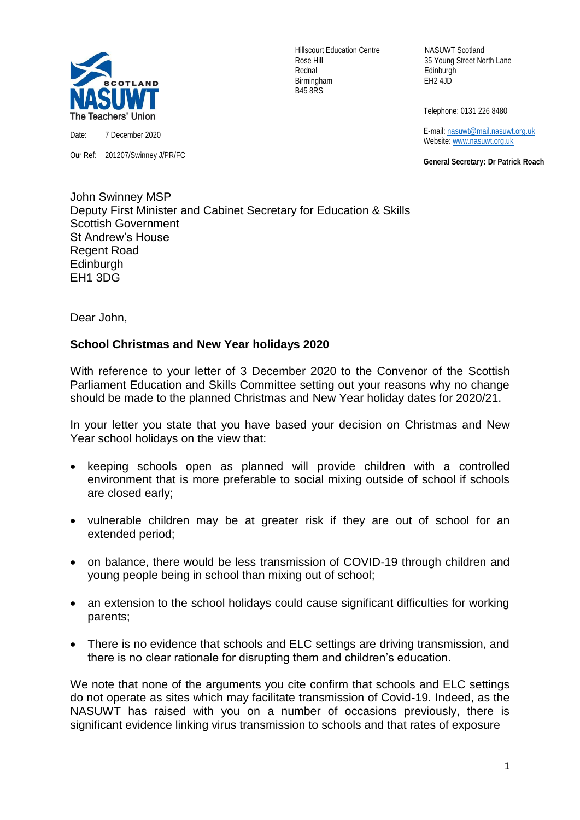

Our Ref: 201207/Swinney J/PR/FC

Hillscourt Education Centre NASUWT Scotland Rednal Edinburgh Birmingham EH2 4JD B45 8RS

Rose Hill 35 Young Street North Lane

Telephone: 0131 226 8480

 E-mail[: nasuwt@mail.nasuwt.org.uk](mailto:nasuwt@mail.nasuwt.org.uk) Website: [www.nasuwt.org.uk](http://www.nasuwt.org.uk/)

 **General Secretary: Dr Patrick Roach**

John Swinney MSP Deputy First Minister and Cabinet Secretary for Education & Skills Scottish Government St Andrew's House Regent Road **Edinburgh** EH1 3DG

Dear John,

## **School Christmas and New Year holidays 2020**

With reference to your letter of 3 December 2020 to the Convenor of the Scottish Parliament Education and Skills Committee setting out your reasons why no change should be made to the planned Christmas and New Year holiday dates for 2020/21.

In your letter you state that you have based your decision on Christmas and New Year school holidays on the view that:

- keeping schools open as planned will provide children with a controlled environment that is more preferable to social mixing outside of school if schools are closed early;
- vulnerable children may be at greater risk if they are out of school for an extended period;
- on balance, there would be less transmission of COVID-19 through children and young people being in school than mixing out of school;
- an extension to the school holidays could cause significant difficulties for working parents;
- There is no evidence that schools and ELC settings are driving transmission, and there is no clear rationale for disrupting them and children's education.

We note that none of the arguments you cite confirm that schools and ELC settings do not operate as sites which may facilitate transmission of Covid-19. Indeed, as the NASUWT has raised with you on a number of occasions previously, there is significant evidence linking virus transmission to schools and that rates of exposure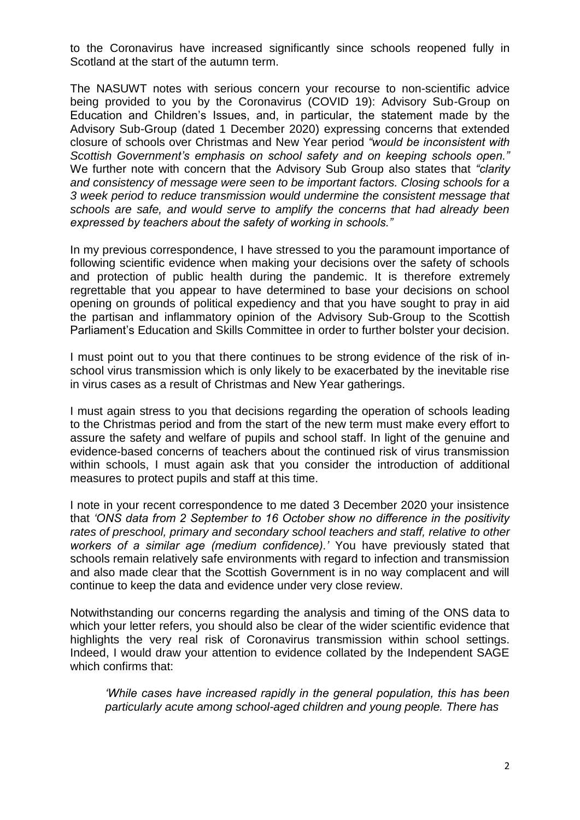to the Coronavirus have increased significantly since schools reopened fully in Scotland at the start of the autumn term.

The NASUWT notes with serious concern your recourse to non-scientific advice being provided to you by the Coronavirus (COVID 19): Advisory Sub-Group on Education and Children's Issues, and, in particular, the statement made by the Advisory Sub-Group (dated 1 December 2020) expressing concerns that extended closure of schools over Christmas and New Year period *"would be inconsistent with Scottish Government's emphasis on school safety and on keeping schools open."* We further note with concern that the Advisory Sub Group also states that *"clarity and consistency of message were seen to be important factors. Closing schools for a 3 week period to reduce transmission would undermine the consistent message that schools are safe, and would serve to amplify the concerns that had already been expressed by teachers about the safety of working in schools."*

In my previous correspondence, I have stressed to you the paramount importance of following scientific evidence when making your decisions over the safety of schools and protection of public health during the pandemic. It is therefore extremely regrettable that you appear to have determined to base your decisions on school opening on grounds of political expediency and that you have sought to pray in aid the partisan and inflammatory opinion of the Advisory Sub-Group to the Scottish Parliament's Education and Skills Committee in order to further bolster your decision.

I must point out to you that there continues to be strong evidence of the risk of inschool virus transmission which is only likely to be exacerbated by the inevitable rise in virus cases as a result of Christmas and New Year gatherings.

I must again stress to you that decisions regarding the operation of schools leading to the Christmas period and from the start of the new term must make every effort to assure the safety and welfare of pupils and school staff. In light of the genuine and evidence-based concerns of teachers about the continued risk of virus transmission within schools, I must again ask that you consider the introduction of additional measures to protect pupils and staff at this time.

I note in your recent correspondence to me dated 3 December 2020 your insistence that *'ONS data from 2 September to 16 October show no difference in the positivity rates of preschool, primary and secondary school teachers and staff, relative to other workers of a similar age (medium confidence).'* You have previously stated that schools remain relatively safe environments with regard to infection and transmission and also made clear that the Scottish Government is in no way complacent and will continue to keep the data and evidence under very close review.

Notwithstanding our concerns regarding the analysis and timing of the ONS data to which your letter refers, you should also be clear of the wider scientific evidence that highlights the very real risk of Coronavirus transmission within school settings. Indeed, I would draw your attention to evidence collated by the Independent SAGE which confirms that:

*'While cases have increased rapidly in the general population, this has been particularly acute among school-aged children and young people. There has*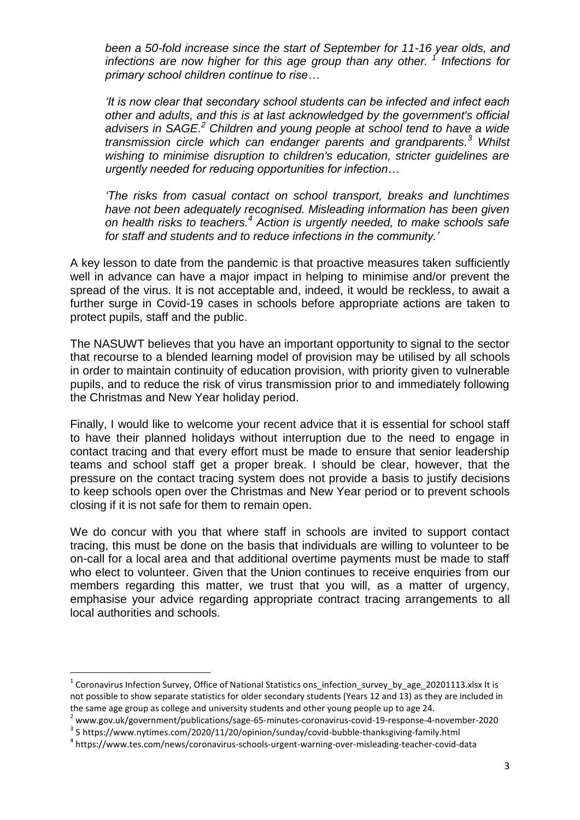*been a 50-fold increase since the start of September for 11-16 year olds, and infections are now higher for this age group than any other. <sup>1</sup> Infections for primary school children continue to rise…* 

*'It is now clear that secondary school students can be infected and infect each other and adults, and this is at last acknowledged by the government's official advisers in SAGE.<sup>2</sup> Children and young people at school tend to have a wide transmission circle which can endanger parents and grandparents.<sup>3</sup> Whilst wishing to minimise disruption to children's education, stricter guidelines are urgently needed for reducing opportunities for infection…*

*'The risks from casual contact on school transport, breaks and lunchtimes have not been adequately recognised. Misleading information has been given on health risks to teachers.<sup>4</sup> Action is urgently needed, to make schools safe for staff and students and to reduce infections in the community.'*

A key lesson to date from the pandemic is that proactive measures taken sufficiently well in advance can have a major impact in helping to minimise and/or prevent the spread of the virus. It is not acceptable and, indeed, it would be reckless, to await a further surge in Covid-19 cases in schools before appropriate actions are taken to protect pupils, staff and the public.

The NASUWT believes that you have an important opportunity to signal to the sector that recourse to a blended learning model of provision may be utilised by all schools in order to maintain continuity of education provision, with priority given to vulnerable pupils, and to reduce the risk of virus transmission prior to and immediately following the Christmas and New Year holiday period.

Finally, I would like to welcome your recent advice that it is essential for school staff to have their planned holidays without interruption due to the need to engage in contact tracing and that every effort must be made to ensure that senior leadership teams and school staff get a proper break. I should be clear, however, that the pressure on the contact tracing system does not provide a basis to justify decisions to keep schools open over the Christmas and New Year period or to prevent schools closing if it is not safe for them to remain open.

We do concur with you that where staff in schools are invited to support contact tracing, this must be done on the basis that individuals are willing to volunteer to be on-call for a local area and that additional overtime payments must be made to staff who elect to volunteer. Given that the Union continues to receive enquiries from our members regarding this matter, we trust that you will, as a matter of urgency, emphasise your advice regarding appropriate contract tracing arrangements to all local authorities and schools.

1

<sup>&</sup>lt;sup>1</sup> Coronavirus Infection Survey, Office of National Statistics ons\_infection\_survey\_by\_age\_20201113.xlsx It is not possible to show separate statistics for older secondary students (Years 12 and 13) as they are included in the same age group as college and university students and other young people up to age 24.

<sup>2</sup> www.gov.uk/government/publications/sage-65-minutes-coronavirus-covid-19-response-4-november-2020 <sup>3</sup> 5 https://www.nytimes.com/2020/11/20/opinion/sunday/covid-bubble-thanksgiving-family.html

<sup>4</sup> https://www.tes.com/news/coronavirus-schools-urgent-warning-over-misleading-teacher-covid-data